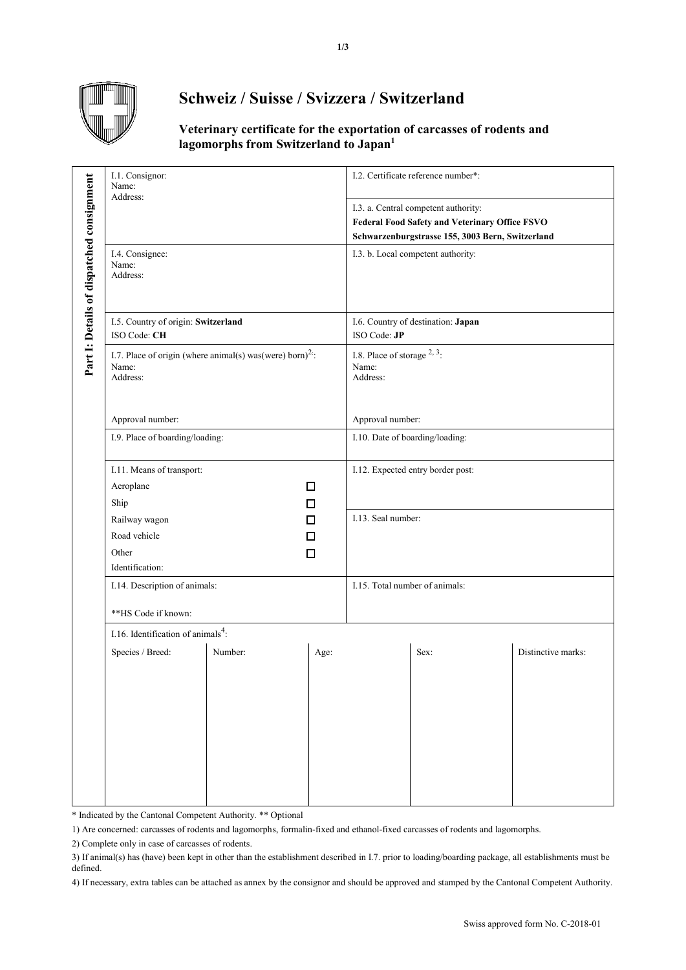

## **Schweiz / Suisse / Svizzera / Switzerland**

## **Veterinary certificate for the exportation of carcasses of rodents and lagomorphs from Switzerland to Japan<sup>1</sup>**

|                                           | I.1. Consignor:<br>Name:<br>Address:                                                       |         |      | I.2. Certificate reference number*:<br>I.3. a. Central competent authority:<br>Federal Food Safety and Veterinary Office FSVO<br>Schwarzenburgstrasse 155, 3003 Bern, Switzerland |                                    |                    |  |
|-------------------------------------------|--------------------------------------------------------------------------------------------|---------|------|-----------------------------------------------------------------------------------------------------------------------------------------------------------------------------------|------------------------------------|--------------------|--|
| Part 1: Details of dispatched consignment |                                                                                            |         |      |                                                                                                                                                                                   |                                    |                    |  |
|                                           | I.4. Consignee:<br>Name:<br>Address:                                                       |         |      |                                                                                                                                                                                   | I.3. b. Local competent authority: |                    |  |
|                                           | I.5. Country of origin: Switzerland<br>ISO Code: CH                                        |         |      | I.6. Country of destination: Japan<br>ISO Code: JP                                                                                                                                |                                    |                    |  |
|                                           | I.7. Place of origin (where animal(s) was (were) born) <sup>2</sup> :<br>Name:<br>Address: |         |      | I.8. Place of storage $2, 3$ :<br>Name:<br>Address:                                                                                                                               |                                    |                    |  |
|                                           | Approval number:                                                                           |         |      | Approval number:                                                                                                                                                                  |                                    |                    |  |
|                                           | I.9. Place of boarding/loading:                                                            |         |      | I.10. Date of boarding/loading:                                                                                                                                                   |                                    |                    |  |
|                                           | I.11. Means of transport:                                                                  |         |      | I.12. Expected entry border post:                                                                                                                                                 |                                    |                    |  |
|                                           | Aeroplane                                                                                  |         | □    |                                                                                                                                                                                   |                                    |                    |  |
|                                           | Ship                                                                                       |         | □    |                                                                                                                                                                                   |                                    |                    |  |
|                                           | Railway wagon                                                                              |         | П    | I.13. Seal number:                                                                                                                                                                |                                    |                    |  |
|                                           | Road vehicle                                                                               |         | П    |                                                                                                                                                                                   |                                    |                    |  |
|                                           | Other                                                                                      |         | □    |                                                                                                                                                                                   |                                    |                    |  |
|                                           | Identification:                                                                            |         |      |                                                                                                                                                                                   |                                    |                    |  |
|                                           | I.14. Description of animals:                                                              |         |      | I.15. Total number of animals:                                                                                                                                                    |                                    |                    |  |
|                                           | **HS Code if known:                                                                        |         |      |                                                                                                                                                                                   |                                    |                    |  |
|                                           | I.16. Identification of animals <sup>4</sup> :                                             |         |      |                                                                                                                                                                                   |                                    |                    |  |
|                                           | Species / Breed:                                                                           | Number: | Age: |                                                                                                                                                                                   | Sex:                               | Distinctive marks: |  |
|                                           |                                                                                            |         |      |                                                                                                                                                                                   |                                    |                    |  |

\* Indicated by the Cantonal Competent Authority. \*\* Optional

1) Are concerned: carcasses of rodents and lagomorphs, formalin-fixed and ethanol-fixed carcasses of rodents and lagomorphs.

2) Complete only in case of carcasses of rodents.

3) If animal(s) has (have) been kept in other than the establishment described in I.7. prior to loading/boarding package, all establishments must be defined.

4) If necessary, extra tables can be attached as annex by the consignor and should be approved and stamped by the Cantonal Competent Authority.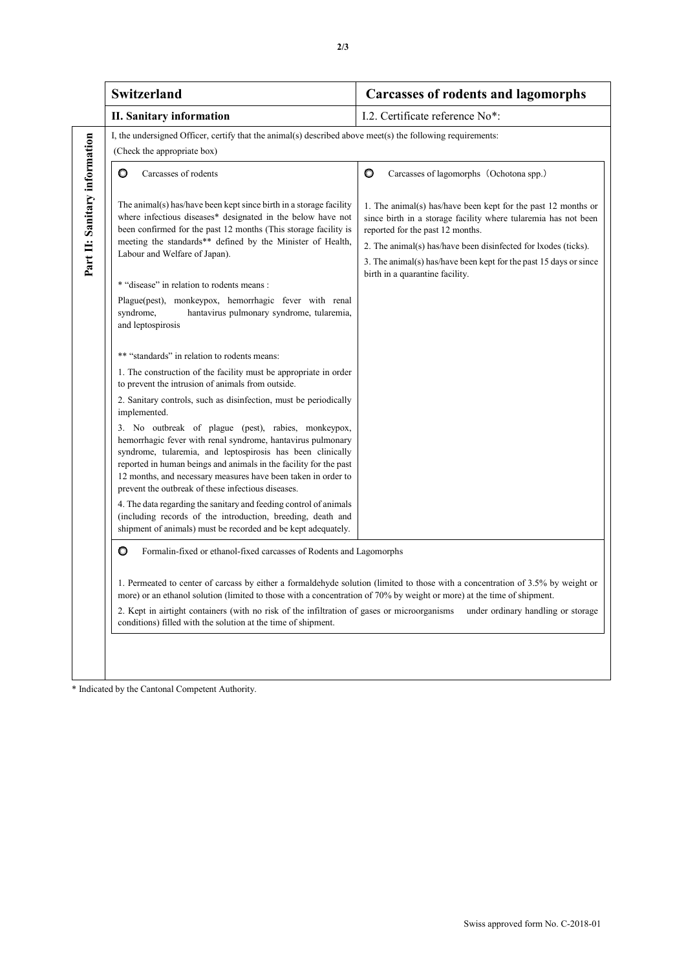| <b>Switzerland</b>                                                                                                                                                                                                                                                                                                                                                                                                                                              |                                                                                                                                                                                                                                                                                                                        | <b>Carcasses of rodents and lagomorphs</b>                                                                                                                                                                                                                                                                 |  |  |  |  |
|-----------------------------------------------------------------------------------------------------------------------------------------------------------------------------------------------------------------------------------------------------------------------------------------------------------------------------------------------------------------------------------------------------------------------------------------------------------------|------------------------------------------------------------------------------------------------------------------------------------------------------------------------------------------------------------------------------------------------------------------------------------------------------------------------|------------------------------------------------------------------------------------------------------------------------------------------------------------------------------------------------------------------------------------------------------------------------------------------------------------|--|--|--|--|
| <b>II. Sanitary information</b>                                                                                                                                                                                                                                                                                                                                                                                                                                 |                                                                                                                                                                                                                                                                                                                        | I.2. Certificate reference No*:                                                                                                                                                                                                                                                                            |  |  |  |  |
| I, the undersigned Officer, certify that the animal(s) described above meet(s) the following requirements:<br>(Check the appropriate box)                                                                                                                                                                                                                                                                                                                       |                                                                                                                                                                                                                                                                                                                        |                                                                                                                                                                                                                                                                                                            |  |  |  |  |
| Carcasses of rodents<br>O                                                                                                                                                                                                                                                                                                                                                                                                                                       |                                                                                                                                                                                                                                                                                                                        | O<br>Carcasses of lagomorphs (Ochotona spp.)                                                                                                                                                                                                                                                               |  |  |  |  |
| The animal(s) has/have been kept since birth in a storage facility<br>where infectious diseases* designated in the below have not<br>been confirmed for the past 12 months (This storage facility is<br>meeting the standards** defined by the Minister of Health,<br>Labour and Welfare of Japan).                                                                                                                                                             |                                                                                                                                                                                                                                                                                                                        | 1. The animal(s) has/have been kept for the past 12 months or<br>since birth in a storage facility where tularemia has not been<br>reported for the past 12 months.<br>2. The animal(s) has/have been disinfected for lxodes (ticks).<br>3. The animal(s) has/have been kept for the past 15 days or since |  |  |  |  |
| * "disease" in relation to rodents means :                                                                                                                                                                                                                                                                                                                                                                                                                      |                                                                                                                                                                                                                                                                                                                        | birth in a quarantine facility.                                                                                                                                                                                                                                                                            |  |  |  |  |
| syndrome,<br>and leptospirosis                                                                                                                                                                                                                                                                                                                                                                                                                                  | Plague(pest), monkeypox, hemorrhagic fever with renal<br>hantavirus pulmonary syndrome, tularemia,                                                                                                                                                                                                                     |                                                                                                                                                                                                                                                                                                            |  |  |  |  |
| ** "standards" in relation to rodents means:                                                                                                                                                                                                                                                                                                                                                                                                                    |                                                                                                                                                                                                                                                                                                                        |                                                                                                                                                                                                                                                                                                            |  |  |  |  |
| to prevent the intrusion of animals from outside.                                                                                                                                                                                                                                                                                                                                                                                                               | 1. The construction of the facility must be appropriate in order                                                                                                                                                                                                                                                       |                                                                                                                                                                                                                                                                                                            |  |  |  |  |
| implemented.                                                                                                                                                                                                                                                                                                                                                                                                                                                    | 2. Sanitary controls, such as disinfection, must be periodically                                                                                                                                                                                                                                                       |                                                                                                                                                                                                                                                                                                            |  |  |  |  |
| prevent the outbreak of these infectious diseases.                                                                                                                                                                                                                                                                                                                                                                                                              | 3. No outbreak of plague (pest), rabies, monkeypox,<br>hemorrhagic fever with renal syndrome, hantavirus pulmonary<br>syndrome, tularemia, and leptospirosis has been clinically<br>reported in human beings and animals in the facility for the past<br>12 months, and necessary measures have been taken in order to |                                                                                                                                                                                                                                                                                                            |  |  |  |  |
|                                                                                                                                                                                                                                                                                                                                                                                                                                                                 | 4. The data regarding the sanitary and feeding control of animals<br>(including records of the introduction, breeding, death and<br>shipment of animals) must be recorded and be kept adequately.                                                                                                                      |                                                                                                                                                                                                                                                                                                            |  |  |  |  |
| O<br>Formalin-fixed or ethanol-fixed carcasses of Rodents and Lagomorphs                                                                                                                                                                                                                                                                                                                                                                                        |                                                                                                                                                                                                                                                                                                                        |                                                                                                                                                                                                                                                                                                            |  |  |  |  |
| 1. Permeated to center of carcass by either a formaldehyde solution (limited to those with a concentration of 3.5% by weight or<br>more) or an ethanol solution (limited to those with a concentration of 70% by weight or more) at the time of shipment.<br>2. Kept in airtight containers (with no risk of the infiltration of gases or microorganisms<br>under ordinary handling or storage<br>conditions) filled with the solution at the time of shipment. |                                                                                                                                                                                                                                                                                                                        |                                                                                                                                                                                                                                                                                                            |  |  |  |  |

**2/3**

\* Indicated by the Cantonal Competent Authority.